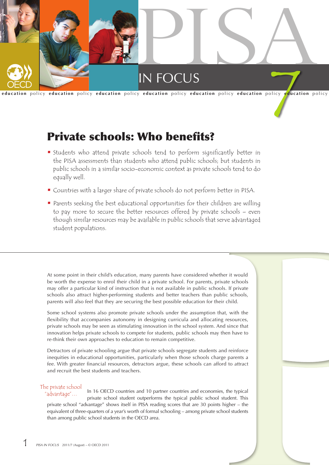

# Private schools: Who benefits?

- **•** Students who attend private schools tend to perform significantly better in the PISA assessments than students who attend public schools; but students in public schools in a similar socio-economic context as private schools tend to do equally well.
- **•** Countries with a larger share of private schools do not perform better in PISA.
- Parents seeking the best educational opportunities for their children are willing to pay more to secure the better resources offered by private schools – even though similar resources may be available in public schools that serve advantaged student populations.

At some point in their child's education, many parents have considered whether it would be worth the expense to enrol their child in a private school. For parents, private schools may offer a particular kind of instruction that is not available in public schools. If private schools also attract higher-performing students and better teachers than public schools, parents will also feel that they are securing the best possible education for their child.

Some school systems also promote private schools under the assumption that, with the flexibility that accompanies autonomy in designing curricula and allocating resources, private schools may be seen as stimulating innovation in the school system. And since that innovation helps private schools to compete for students, public schools may then have to re-think their own approaches to education to remain competitive.

Detractors of private schooling argue that private schools segregate students and reinforce inequities in educational opportunities, particularly when those schools charge parents a fee. With greater financial resources, detractors argue, these schools can afford to attract and recruit the best students and teachers.

## The private school

In 16 OECD countries and 10 partner countries and economies, the typical private school student outperforms the typical public school student. This private school "advantage" shows itself in PISA reading scores that are 30 points higher – the equivalent of three-quarters of a year's worth of formal schooling – among private school students than among public school students in the OECD area. "advantage"…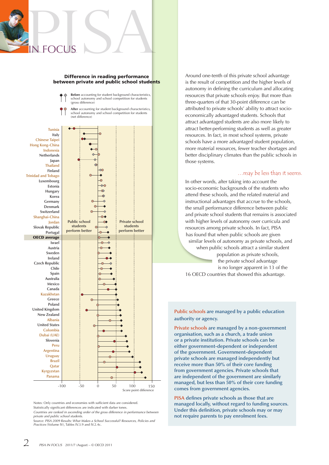## Difference in reading performance between private and public school students

RISA

**Before** accounting for student background characteristics, school autonomy and school competition for students (gross difference)

**After** accounting for student background characteristics, school autonomy and school competition for students (net difference)



Notes: Only countries and economies with sufficient data are considered. Statistically significant differences are indicated with darker tones.

*Countries are ranked in ascending order of the gross difference in performance between* 

*private and public school students.* Source: *PISA 2009 Results: What Makes a School Successful? Resources, Policies and Practices* (Volume IV), Tables IV.3.9 and IV.2.4c.

Around one-tenth of this private school advantage is the result of competition and the higher levels of autonomy in defining the curriculum and allocating resources that private schools enjoy. But more than three-quarters of that 30-point difference can be attributed to private schools' ability to attract socioeconomically advantaged students. Schools that attract advantaged students are also more likely to attract better-performing students as well as greater resources. In fact, in most school systems, private schools have a more advantaged student population, more material resources, fewer teacher shortages and better disciplinary climates than the public schools in those systems.

# …may be less than it seems.

In other words, after taking into account the socio-economic backgrounds of the students who attend these schools, and the related material and instructional advantages that accrue to the schools, the small performance difference between public and private school students that remains is associated with higher levels of autonomy over curricula and resources among private schools. In fact, PISA has found that when public schools are given

similar levels of autonomy as private schools, and when public schools attract a similar student

population as private schools, the private school advantage is no longer apparent in 13 of the

16 OECD countries that showed this advantage.

# **Public schools are managed by a public education authority or agency.**

**Private schools are managed by a non-government organisation, such as a church, a trade union or a private institution. Private schools can be either government-dependent or independent of the government. Government-dependent private schools are managed independently but receive more than 50% of their core funding from government agencies. Private schools that are independent of the government are similarly managed, but less than 50% of their core funding comes from government agencies.** 

**PISA defines private schools as those that are managed locally, without regard to funding sources. Under this definition, private schools may or may not require parents to pay enrolment fees.**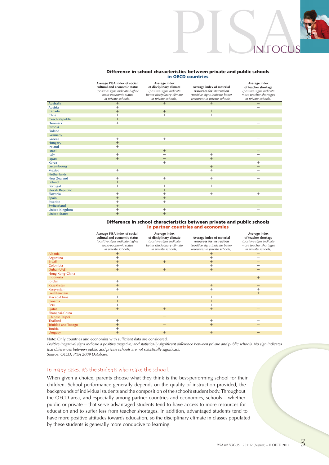#### Difference in school characteristics between private and public schools in OECD countries

PISAin Focus

|                        | Average PISA index of social,<br>cultural and economic status<br>(positive signs indicate higher<br>socio-economic status<br>in private schools) | Average index<br>of disciplinary climate<br>(positive signs indicate<br>better disciplinary climate<br>in private schools) | Average index of material<br>resources for instruction<br>(positive signs indicate better<br>resources in private schools) | Average index<br>of teacher shortage<br>(positive signs indicate<br>more teacher shortages<br>in private schools) |
|------------------------|--------------------------------------------------------------------------------------------------------------------------------------------------|----------------------------------------------------------------------------------------------------------------------------|----------------------------------------------------------------------------------------------------------------------------|-------------------------------------------------------------------------------------------------------------------|
| <b>Australia</b>       | $\overline{+}$                                                                                                                                   | $\overline{+}$                                                                                                             | $\overline{+}$                                                                                                             |                                                                                                                   |
| <b>Austria</b>         | $+$                                                                                                                                              |                                                                                                                            |                                                                                                                            |                                                                                                                   |
| Canada                 | $+$                                                                                                                                              | $+$                                                                                                                        | $^{+}$                                                                                                                     |                                                                                                                   |
| Chile                  | $+$                                                                                                                                              | $+$                                                                                                                        | $^{+}$                                                                                                                     |                                                                                                                   |
| <b>Czech Republic</b>  | $+$                                                                                                                                              |                                                                                                                            |                                                                                                                            |                                                                                                                   |
| <b>Denmark</b>         | $+$                                                                                                                                              |                                                                                                                            |                                                                                                                            |                                                                                                                   |
| <b>Estonia</b>         |                                                                                                                                                  |                                                                                                                            |                                                                                                                            |                                                                                                                   |
| <b>Finland</b>         |                                                                                                                                                  |                                                                                                                            |                                                                                                                            |                                                                                                                   |
| Germany                |                                                                                                                                                  |                                                                                                                            |                                                                                                                            |                                                                                                                   |
| <b>Greece</b>          | $^{+}$                                                                                                                                           | $+$                                                                                                                        |                                                                                                                            |                                                                                                                   |
| <b>Hungary</b>         | $^{+}$                                                                                                                                           |                                                                                                                            |                                                                                                                            |                                                                                                                   |
| <b>Ireland</b>         | $+$                                                                                                                                              |                                                                                                                            |                                                                                                                            |                                                                                                                   |
| <b>Israel</b>          |                                                                                                                                                  | $+$                                                                                                                        |                                                                                                                            |                                                                                                                   |
| Italy                  | $+$                                                                                                                                              |                                                                                                                            | $^{+}$                                                                                                                     |                                                                                                                   |
| Japan                  | $+$                                                                                                                                              |                                                                                                                            | $+$                                                                                                                        |                                                                                                                   |
| <b>Korea</b>           |                                                                                                                                                  | $+$                                                                                                                        |                                                                                                                            | $^{+}$                                                                                                            |
| Luxembourg             |                                                                                                                                                  |                                                                                                                            | $^{+}$                                                                                                                     |                                                                                                                   |
| <b>Mexico</b>          | $+$                                                                                                                                              |                                                                                                                            | $\overline{+}$                                                                                                             |                                                                                                                   |
| <b>Netherlands</b>     |                                                                                                                                                  |                                                                                                                            |                                                                                                                            |                                                                                                                   |
| <b>New Zealand</b>     | $+$                                                                                                                                              | $+$                                                                                                                        | $+$                                                                                                                        |                                                                                                                   |
| <b>Poland</b>          | $+$                                                                                                                                              |                                                                                                                            |                                                                                                                            |                                                                                                                   |
| Portugal               | $+$                                                                                                                                              | $+$                                                                                                                        | $^{+}$                                                                                                                     |                                                                                                                   |
| <b>Slovak Republic</b> |                                                                                                                                                  | $+$                                                                                                                        |                                                                                                                            |                                                                                                                   |
| Slovenia               | $^{+}$                                                                                                                                           | $^{+}$                                                                                                                     | $^{+}$                                                                                                                     | $^{+}$                                                                                                            |
| Spain                  | $^{+}$                                                                                                                                           | $+$                                                                                                                        |                                                                                                                            |                                                                                                                   |
| Sweden                 | $^{+}$                                                                                                                                           | $+$                                                                                                                        |                                                                                                                            |                                                                                                                   |
| <b>Switzerland</b>     | $+$                                                                                                                                              |                                                                                                                            |                                                                                                                            |                                                                                                                   |
| <b>United Kingdom</b>  | $+$                                                                                                                                              | $\pm$                                                                                                                      |                                                                                                                            |                                                                                                                   |
| <b>United States</b>   | $+$                                                                                                                                              | $+$                                                                                                                        |                                                                                                                            |                                                                                                                   |

# Difference in school characteristics between private and public schools

|                            | in partner countries and economies                                                                                                               |                                                                                                                            |                                                                                                                            |                                                                                                                   |  |  |
|----------------------------|--------------------------------------------------------------------------------------------------------------------------------------------------|----------------------------------------------------------------------------------------------------------------------------|----------------------------------------------------------------------------------------------------------------------------|-------------------------------------------------------------------------------------------------------------------|--|--|
|                            | Average PISA index of social,<br>cultural and economic status<br>(positive signs indicate higher<br>socio-economic status<br>in private schools) | Average index<br>of disciplinary climate<br>(positive signs indicate<br>better disciplinary climate<br>in private schools) | Average index of material<br>resources for instruction<br>(positive signs indicate better<br>resources in private schools) | Average index<br>of teacher shortage<br>(positive signs indicate<br>more teacher shortages<br>in private schools) |  |  |
| <b>Albania</b>             | $+$                                                                                                                                              |                                                                                                                            | $^{+}$                                                                                                                     |                                                                                                                   |  |  |
| Argentina                  | $^{+}$                                                                                                                                           |                                                                                                                            | $^{+}$                                                                                                                     |                                                                                                                   |  |  |
| <b>Brazil</b>              | $+$                                                                                                                                              | $+$                                                                                                                        | $^{+}$                                                                                                                     |                                                                                                                   |  |  |
| Colombia                   | $+$                                                                                                                                              |                                                                                                                            | $+$                                                                                                                        |                                                                                                                   |  |  |
| Dubai (UAE)                | $+$                                                                                                                                              | $+$                                                                                                                        | $+$                                                                                                                        |                                                                                                                   |  |  |
| Hong Kong-China            |                                                                                                                                                  |                                                                                                                            |                                                                                                                            |                                                                                                                   |  |  |
| <b>Indonesia</b>           |                                                                                                                                                  |                                                                                                                            |                                                                                                                            | $+$                                                                                                               |  |  |
| Jordan                     | $+$                                                                                                                                              |                                                                                                                            |                                                                                                                            |                                                                                                                   |  |  |
| <b>Kazakhstan</b>          | $+$                                                                                                                                              |                                                                                                                            | $+$                                                                                                                        |                                                                                                                   |  |  |
| Kyrgyzstan                 | $+$                                                                                                                                              |                                                                                                                            | $^{+}$                                                                                                                     | $^+$                                                                                                              |  |  |
| Liechtenstein              |                                                                                                                                                  |                                                                                                                            | -                                                                                                                          | $^{+}$                                                                                                            |  |  |
| Macao-China                | $+$                                                                                                                                              |                                                                                                                            | $^{+}$                                                                                                                     |                                                                                                                   |  |  |
| Panama                     | $+$                                                                                                                                              |                                                                                                                            | $+$                                                                                                                        |                                                                                                                   |  |  |
| Peru                       | $^{+}$                                                                                                                                           |                                                                                                                            | $^{+}$                                                                                                                     |                                                                                                                   |  |  |
| Qatar                      | $+$                                                                                                                                              | $+$                                                                                                                        | $+$                                                                                                                        |                                                                                                                   |  |  |
| Shanghai-China             |                                                                                                                                                  |                                                                                                                            |                                                                                                                            |                                                                                                                   |  |  |
| <b>Chinese Taipei</b>      |                                                                                                                                                  |                                                                                                                            |                                                                                                                            |                                                                                                                   |  |  |
| <b>Thailand</b>            | $^{+}$                                                                                                                                           |                                                                                                                            | $^{+}$                                                                                                                     |                                                                                                                   |  |  |
| <b>Trinidad and Tobago</b> | $+$                                                                                                                                              |                                                                                                                            | $+$                                                                                                                        |                                                                                                                   |  |  |
| <b>Tunisia</b>             | $^{+}$                                                                                                                                           |                                                                                                                            |                                                                                                                            |                                                                                                                   |  |  |
| <b>Uruguay</b>             | $^{+}$                                                                                                                                           | $^{+}$                                                                                                                     | $^{+}$                                                                                                                     |                                                                                                                   |  |  |

Note: Only countries and economies with sufficient data are considered.

*Positive (negative) signs indicate a positive (negative) and statistically significant difference between private and public schools. No sign indicates that differences between public and private schools are not statistically significant.*

Source: OECD, *PISA 2009 Database.*

## In many cases, it's the students who make the school.

When given a choice, parents choose what they think is the best-performing school for their children. School performance generally depends on the quality of instruction provided, the backgrounds of individual students and the composition of the school's student body. Throughout the OECD area, and especially among partner countries and economies, schools – whether public or private – that serve advantaged students tend to have access to more resources for education and to suffer less from teacher shortages. In addition, advantaged students tend to have more positive attitudes towards education, so the disciplinary climate in classes populated by these students is generally more conducive to learning.